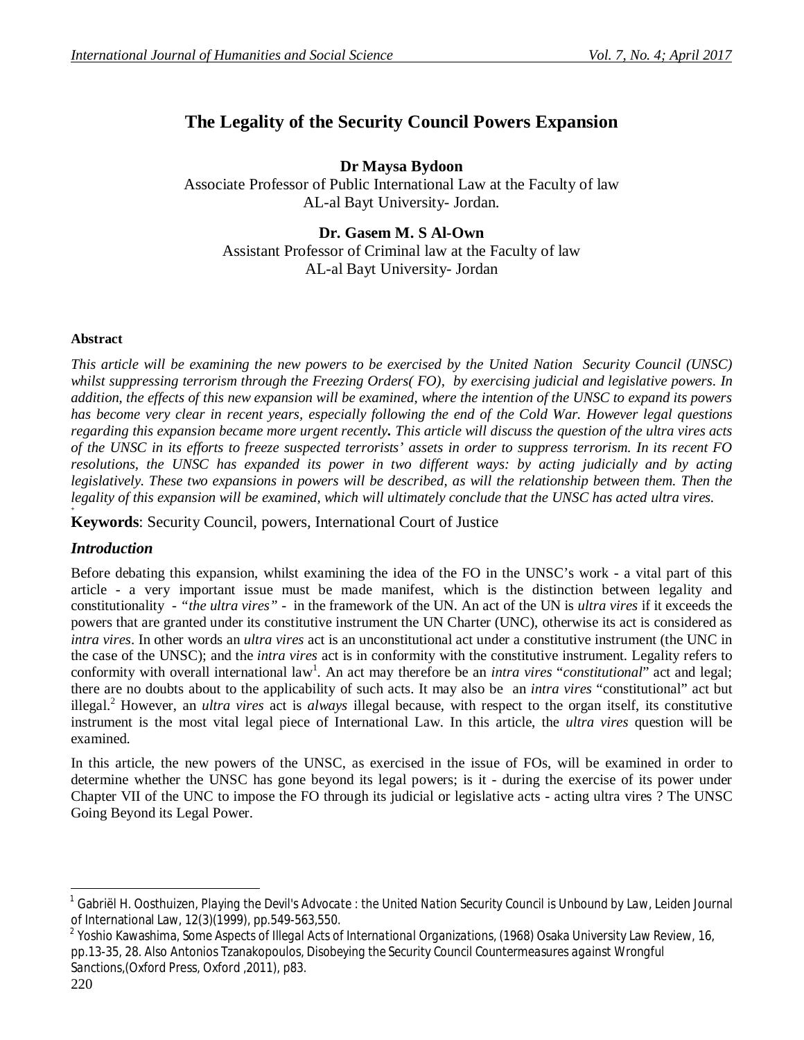# **The Legality of the Security Council Powers Expansion**

**Dr Maysa Bydoon** Associate Professor of Public International Law at the Faculty of law AL-al Bayt University- Jordan.

### **Dr. Gasem M. S Al-Own**

Assistant Professor of Criminal law at the Faculty of law AL-al Bayt University- Jordan

#### **Abstract**

*This article will be examining the new powers to be exercised by the United Nation Security Council (UNSC) whilst suppressing terrorism through the Freezing Orders( FO), by exercising judicial and legislative powers. In addition, the effects of this new expansion will be examined, where the intention of the UNSC to expand its powers has become very clear in recent years, especially following the end of the Cold War. However legal questions regarding this expansion became more urgent recently. This article will discuss the question of the ultra vires acts of the UNSC in its efforts to freeze suspected terrorists' assets in order to suppress terrorism. In its recent FO resolutions, the UNSC has expanded its power in two different ways: by acting judicially and by acting legislatively. These two expansions in powers will be described, as will the relationship between them. Then the legality of this expansion will be examined, which will ultimately conclude that the UNSC has acted ultra vires.* **+**

**Keywords**: Security Council, powers, International Court of Justice

#### *Introduction*

Before debating this expansion, whilst examining the idea of the FO in the UNSC's work - a vital part of this article - a very important issue must be made manifest, which is the distinction between legality and constitutionality - *"the ultra vires" -* in the framework of the UN. An act of the UN is *ultra vires* if it exceeds the powers that are granted under its constitutive instrument the UN Charter (UNC), otherwise its act is considered as *intra vires*. In other words an *ultra vires* act is an unconstitutional act under a constitutive instrument (the UNC in the case of the UNSC); and the *intra vires* act is in conformity with the constitutive instrument. Legality refers to conformity with overall international law<sup>1</sup>. An act may therefore be an *intra vires* "*constitutional*" act and legal; there are no doubts about to the applicability of such acts. It may also be an *intra vires* "constitutional" act but illegal.<sup>2</sup> However, an *ultra vires* act is *always* illegal because, with respect to the organ itself, its constitutive instrument is the most vital legal piece of International Law. In this article, the *ultra vires* question will be examined.

In this article, the new powers of the UNSC, as exercised in the issue of FOs, will be examined in order to determine whether the UNSC has gone beyond its legal powers; is it - during the exercise of its power under Chapter VII of the UNC to impose the FO through its judicial or legislative acts - acting ultra vires ? The UNSC Going Beyond its Legal Power.

 $\overline{a}$ 1 Gabriël H. Oosthuizen, *Playing the Devil's Advocate : the United Nation Security Council is Unbound by Law*, Leiden Journal of International Law, 12(3)(1999), pp.549-563,550.

<sup>2</sup> Yoshio Kawashima, *Some Aspects of Illegal Acts of International Organizations*, (1968) Osaka University Law Review, 16, pp.13-35, 28. Also Antonios Tzanakopoulos, *Disobeying the Security Council Countermeasures against Wrongful Sanctions*,(Oxford Press, Oxford ,2011), p83.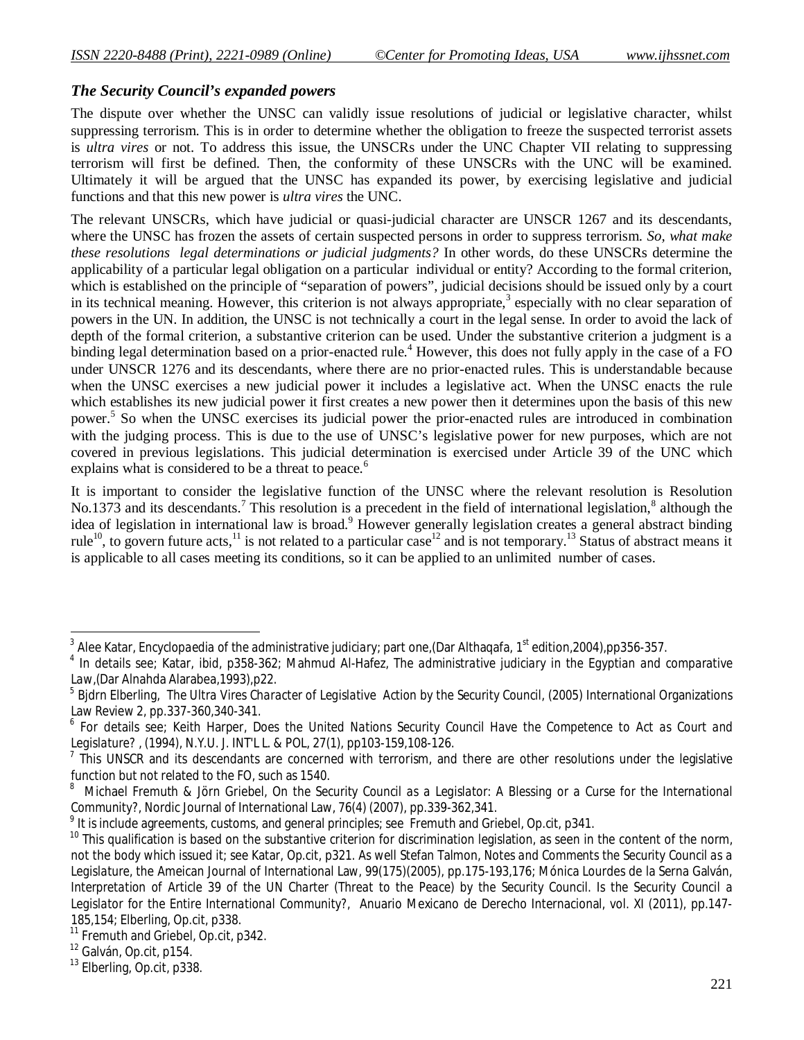### *The Security Council's expanded powers*

The dispute over whether the UNSC can validly issue resolutions of judicial or legislative character, whilst suppressing terrorism. This is in order to determine whether the obligation to freeze the suspected terrorist assets is *ultra vires* or not. To address this issue, the UNSCRs under the UNC Chapter VII relating to suppressing terrorism will first be defined. Then, the conformity of these UNSCRs with the UNC will be examined. Ultimately it will be argued that the UNSC has expanded its power, by exercising legislative and judicial functions and that this new power is *ultra vires* the UNC.

The relevant UNSCRs, which have judicial or quasi-judicial character are UNSCR 1267 and its descendants, where the UNSC has frozen the assets of certain suspected persons in order to suppress terrorism. *So, what make these resolutions legal determinations or judicial judgments?* In other words, do these UNSCRs determine the applicability of a particular legal obligation on a particular individual or entity? According to the formal criterion, which is established on the principle of "separation of powers", judicial decisions should be issued only by a court in its technical meaning. However, this criterion is not always appropriate,<sup>3</sup> especially with no clear separation of powers in the UN. In addition, the UNSC is not technically a court in the legal sense. In order to avoid the lack of depth of the formal criterion, a substantive criterion can be used. Under the substantive criterion a judgment is a binding legal determination based on a prior-enacted rule.<sup>4</sup> However, this does not fully apply in the case of a FO under UNSCR 1276 and its descendants, where there are no prior-enacted rules. This is understandable because when the UNSC exercises a new judicial power it includes a legislative act. When the UNSC enacts the rule which establishes its new judicial power it first creates a new power then it determines upon the basis of this new power.<sup>5</sup> So when the UNSC exercises its judicial power the prior-enacted rules are introduced in combination with the judging process. This is due to the use of UNSC's legislative power for new purposes, which are not covered in previous legislations. This judicial determination is exercised under Article 39 of the UNC which explains what is considered to be a threat to peace.<sup>6</sup>

It is important to consider the legislative function of the UNSC where the relevant resolution is Resolution No.1373 and its descendants.<sup>7</sup> This resolution is a precedent in the field of international legislation,<sup>8</sup> although the idea of legislation in international law is broad.<sup>9</sup> However generally legislation creates a general abstract binding rule<sup>10</sup>, to govern future acts,<sup>11</sup> is not related to a particular case<sup>12</sup> and is not temporary.<sup>13</sup> Status of abstract means it is applicable to all cases meeting its conditions, so it can be applied to an unlimited number of cases.

<sup>-&</sup>lt;br><sup>3</sup> Alee Katar, *Encyclopaedia of the administrative judiciary*; part one,(Dar Althaqafa, 1<sup>st</sup> edition,2004),pp356-357.

<sup>4</sup> In details see; Katar, *ibid*, p358-362; Mahmud Al-Hafez, *The administrative judiciary in the Egyptian and comparative Law*,(Dar Alnahda Alarabea,1993),p22.

<sup>5</sup> Bjdrn Elberling, *The Ultra Vires Character of Legislative Action by the Security Council*, (2005) International Organizations Law Review 2, pp.337-360,340-341.

<sup>&</sup>lt;sup>6</sup> For details see; Keith Harper, *Does the United Nations Security Council Have the Competence to Act as Court and Legislature?* , (1994), N.Y.U. J. INT'L L. & POL, 27(1), pp103-159,108-126.

 $<sup>7</sup>$  This UNSCR and its descendants are concerned with terrorism, and there are other resolutions under the legislative</sup> function but not related to the FO, such as 1540.

<sup>8</sup> Michael Fremuth & Jörn Griebel, *On the Security Council as a Legislator: A Blessing or a Curse for the International Community?*, Nordic Journal of International Law, 76(4) (2007), pp.339-362,341.

<sup>9</sup> It is include agreements, customs, and general principles; see Fremuth and Griebel, *Op.cit*, p341.

 $10$  This qualification is based on the substantive criterion for discrimination legislation, as seen in the content of the norm, not the body which issued it; see Katar, *Op.cit*, p321. As well Stefan Talmon, *Notes and Comments the Security Council as a Legislature*, the Ameican Journal of International Law, 99(175)(2005), pp.175-193,176; Mónica Lourdes de la Serna Galván*, Interpretation of Article 39 of the UN Charter (Threat to the Peace) by the Security Council. Is the Security Council a Legislator for the Entire International Community?*, Anuario Mexicano de Derecho Internacional, vol. XI (2011), pp.147- 185,154; Elberling, *Op.cit*, p338.

<sup>11</sup> Fremuth and Griebel, *Op.cit*, p342.

<sup>12</sup> Galván, *Op.cit*, p154.

<sup>13</sup> Elberling, *Op.cit*, p338.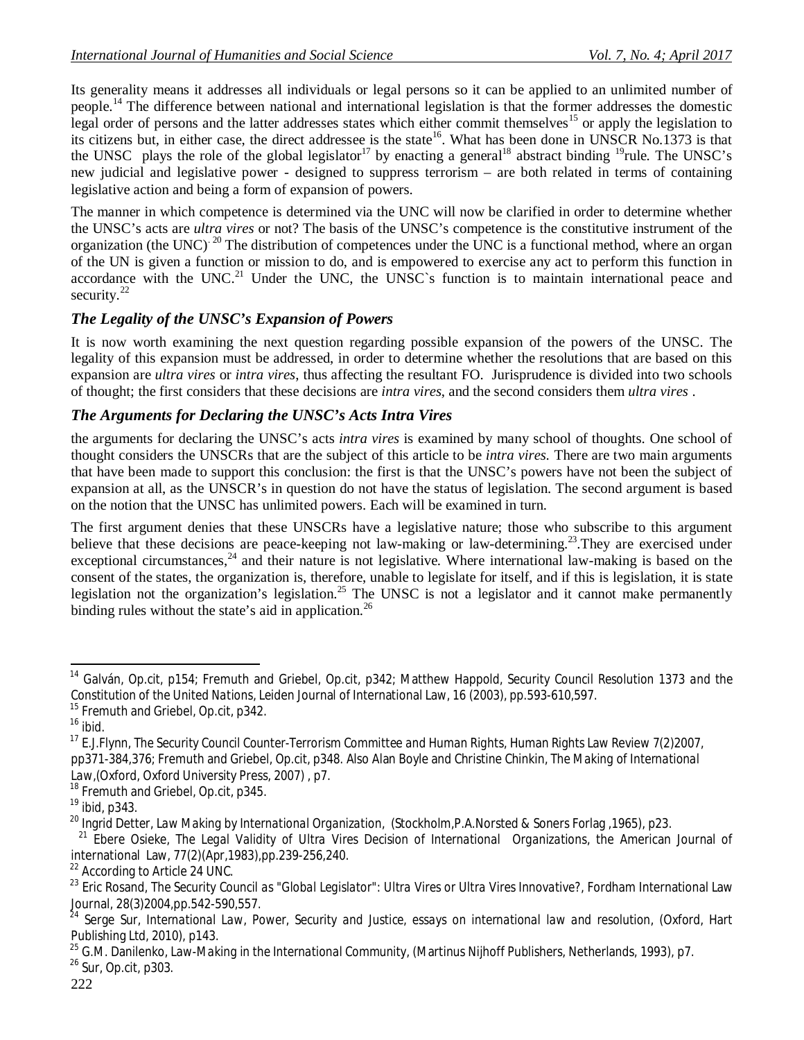Its generality means it addresses all individuals or legal persons so it can be applied to an unlimited number of people.<sup>14</sup> The difference between national and international legislation is that the former addresses the domestic legal order of persons and the latter addresses states which either commit themselves<sup>15</sup> or apply the legislation to its citizens but, in either case, the direct addressee is the state<sup>16</sup>. What has been done in UNSCR No.1373 is that the UNSC plays the role of the global legislator<sup>17</sup> by enacting a general<sup>18</sup> abstract binding <sup>19</sup>rule. The UNSC's new judicial and legislative power - designed to suppress terrorism – are both related in terms of containing legislative action and being a form of expansion of powers.

The manner in which competence is determined via the UNC will now be clarified in order to determine whether the UNSC's acts are *ultra vires* or not? The basis of the UNSC's competence is the constitutive instrument of the organization (the UNC)<sup>20</sup> The distribution of competences under the UNC is a functional method, where an organ of the UN is given a function or mission to do, and is empowered to exercise any act to perform this function in accordance with the UNC.<sup>21</sup> Under the UNC, the UNSC's function is to maintain international peace and security.<sup>22</sup>

## *The Legality of the UNSC's Expansion of Powers*

It is now worth examining the next question regarding possible expansion of the powers of the UNSC. The legality of this expansion must be addressed, in order to determine whether the resolutions that are based on this expansion are *ultra vires* or *intra vires*, thus affecting the resultant FO. Jurisprudence is divided into two schools of thought; the first considers that these decisions are *intra vires*, and the second considers them *ultra vires* .

#### *The Arguments for Declaring the UNSC's Acts Intra Vires*

the arguments for declaring the UNSC's acts *intra vires* is examined by many school of thoughts. One school of thought considers the UNSCRs that are the subject of this article to be *intra vires.* There are two main arguments that have been made to support this conclusion: the first is that the UNSC's powers have not been the subject of expansion at all, as the UNSCR's in question do not have the status of legislation. The second argument is based on the notion that the UNSC has unlimited powers. Each will be examined in turn.

The first argument denies that these UNSCRs have a legislative nature; those who subscribe to this argument believe that these decisions are peace-keeping not law-making or law-determining.<sup>23</sup>. They are exercised under exceptional circumstances,  $^{24}$  and their nature is not legislative. Where international law-making is based on the consent of the states, the organization is, therefore, unable to legislate for itself, and if this is legislation, it is state legislation not the organization's legislation.<sup>25</sup> The UNSC is not a legislator and it cannot make permanently binding rules without the state's aid in application.<sup>26</sup>

<sup>18</sup> Fremuth and Griebel, *Op.cit*, p345.

 $\overline{\phantom{a}}$ <sup>14</sup> Galván, *Op.cit*, p154; Fremuth and Griebel, *Op.cit*, p342; Matthew Happold, *Security Council Resolution 1373 and the Constitution of the United Nations*, Leiden Journal of International Law, 16 (2003), pp.593-610,597.

<sup>15</sup> Fremuth and Griebel, *Op.cit*, p342.

<sup>16</sup> *ibid*.

<sup>17</sup> E.J.Flynn, *The Security Council Counter-Terrorism Committee and Human Rights*, Human Rights Law Review 7(2)2007, pp371-384,376; Fremuth and Griebel, *Op.cit*, p348. Also Alan Boyle and Christine Chinkin, *The Making of International Law*,(Oxford, Oxford University Press, 2007) , p7.

<sup>19</sup> *ibid*, p343.

<sup>20</sup> Ingrid Detter, *Law Making by International Organization*, (Stockholm,P.A.Norsted & Soners Forlag ,1965), p23.

<sup>21</sup> Ebere Osieke, *The Legal Validity of Ultra Vires Decision of International Organizations*, the American Journal of international Law, 77(2)(Apr,1983),pp.239-256,240.

<sup>&</sup>lt;sup>22</sup> According to Article 24 UNC.

<sup>23</sup> Eric Rosand, *The Security Council as "Global Legislator": Ultra Vires or Ultra Vires Innovative?*, Fordham International Law Journal, 28(3)2004,pp.542-590,557.

<sup>24</sup> Serge Sur, *International Law, Power, Security and Justice, essays on international law and resolution*, (Oxford, Hart Publishing Ltd, 2010), p143.

<sup>25</sup> G.M. Danilenko, *Law-Making in the International Community*, (Martinus Nijhoff Publishers, Netherlands, 1993), p7.

<sup>26</sup> Sur, *Op.cit*, p303.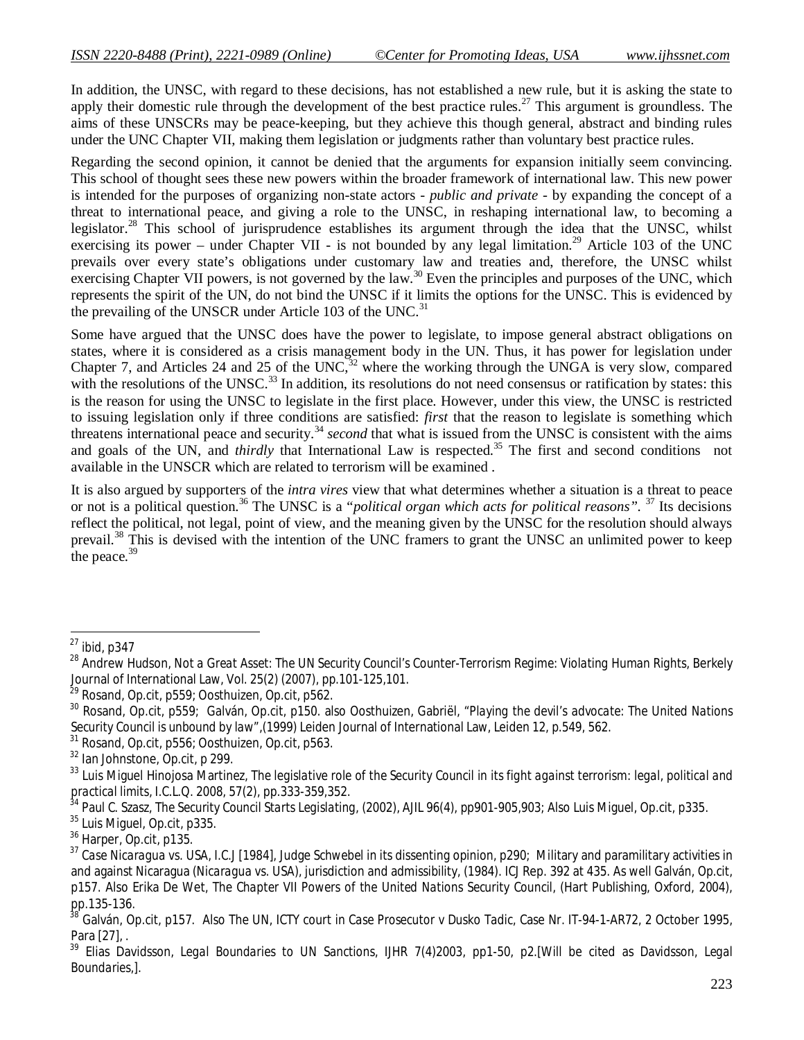In addition, the UNSC, with regard to these decisions, has not established a new rule, but it is asking the state to apply their domestic rule through the development of the best practice rules.<sup>27</sup> This argument is groundless. The aims of these UNSCRs may be peace-keeping, but they achieve this though general, abstract and binding rules under the UNC Chapter VII, making them legislation or judgments rather than voluntary best practice rules.

Regarding the second opinion, it cannot be denied that the arguments for expansion initially seem convincing. This school of thought sees these new powers within the broader framework of international law. This new power is intended for the purposes of organizing non-state actors - *public and private* - by expanding the concept of a threat to international peace, and giving a role to the UNSC, in reshaping international law, to becoming a legislator.<sup>28</sup> This school of jurisprudence establishes its argument through the idea that the UNSC, whilst exercising its power – under Chapter VII - is not bounded by any legal limitation.<sup>29</sup> Article 103 of the UNC prevails over every state's obligations under customary law and treaties and, therefore, the UNSC whilst exercising Chapter VII powers, is not governed by the law.<sup>30</sup> Even the principles and purposes of the UNC, which represents the spirit of the UN, do not bind the UNSC if it limits the options for the UNSC. This is evidenced by the prevailing of the UNSCR under Article 103 of the UNC.<sup>31</sup>

Some have argued that the UNSC does have the power to legislate, to impose general abstract obligations on states, where it is considered as a crisis management body in the UN. Thus, it has power for legislation under Chapter 7, and Articles 24 and 25 of the UNC,<sup>32</sup> where the working through the UNGA is very slow, compared with the resolutions of the UNSC.<sup>33</sup> In addition, its resolutions do not need consensus or ratification by states: this is the reason for using the UNSC to legislate in the first place. However, under this view, the UNSC is restricted to issuing legislation only if three conditions are satisfied: *first* that the reason to legislate is something which threatens international peace and security.<sup>34</sup> second that what is issued from the UNSC is consistent with the aims and goals of the UN, and *thirdly* that International Law is respected.<sup>35</sup> The first and second conditions not available in the UNSCR which are related to terrorism will be examined .

It is also argued by supporters of the *intra vires* view that what determines whether a situation is a threat to peace or not is a political question.<sup>36</sup> The UNSC is a "*political organ which acts for political reasons".* <sup>37</sup> Its decisions reflect the political, not legal, point of view, and the meaning given by the UNSC for the resolution should always prevail.<sup>38</sup> This is devised with the intention of the UNC framers to grant the UNSC an unlimited power to keep the peace.<sup>39</sup>

 $\overline{\phantom{a}}$ 

<sup>27</sup> *ibid*, p347

<sup>28</sup> Andrew Hudson, *Not a Great Asset: The UN Security Council's Counter-Terrorism Regime: Violating Human Rights*, Berkely Journal of International Law, Vol. 25(2) (2007), pp.101-125,101.

<sup>29</sup> Rosand, *Op.cit*, p559; Oosthuizen, *Op.cit*, p562.

<sup>30</sup> Rosand, *Op.cit*, p559; Galván, *Op.cit*, p150. also Oosthuizen, Gabriël, "*Playing the devil's advocate: The United Nations Security Council is unbound by law"*,(1999) Leiden Journal of International Law, Leiden 12, p.549, 562.

<sup>31</sup> Rosand, *Op.cit*, p556; Oosthuizen, *Op.cit*, p563.

<sup>32</sup> Ian Johnstone, *Op.cit*, p 299.

<sup>&</sup>lt;sup>33</sup> Luis Miquel Hinojosa Martinez, *The legislative role of the Security Council in its fight against terrorism: legal, political and practical limits*, I.C.L.Q. 2008, 57(2), pp.333-359,352.

<sup>&</sup>lt;sup>34</sup> Paul C. Szasz, *The Security Council Starts Legislating*, (2002), AJIL 96(4), pp901-905,903; Also Luis Miguel, Op.cit, p335.

<sup>35</sup> Luis Miguel, *Op.cit*, p335.

<sup>36</sup> Harper, *Op.cit*, p135.

<sup>37</sup> *Case Nicaragua vs. USA, I.C.J [1984],* Judge *Schwebel* in its dissenting opinion, p290; Military and paramilitary activities in and against Nicaragua (*Nicaragua vs. USA*), jurisdiction and admissibility, (1984). ICJ Rep. 392 at 435. As well Galván, *Op.cit*, p157. Also Erika De Wet, *The Chapter VII Powers of the United Nations Security Council*, (Hart Publishing, Oxford, 2004), pp.135-136.

<sup>38</sup> Galván, *Op.cit*, p157. Also The UN, ICTY court in *Case Prosecutor v Dusko Tadic,* Case Nr. IT-94-1-AR72, 2 October 1995, Para [27], .

<sup>39</sup> Elias Davidsson, *Legal Boundaries to UN Sanctions*, IJHR 7(4)2003, pp1-50, p2.[Will be cited as Davidsson, *Legal Boundaries*,].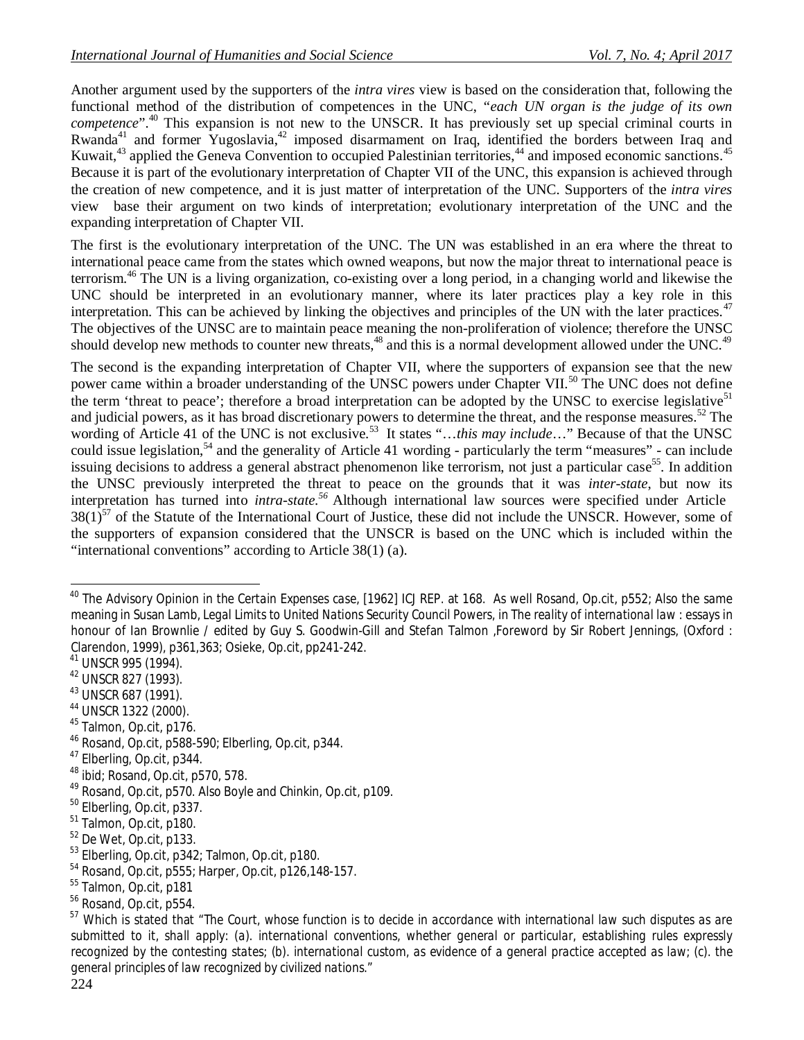Another argument used by the supporters of the *intra vires* view is based on the consideration that, following the functional method of the distribution of competences in the UNC, "*each UN organ is the judge of its own competence*".<sup>40</sup> This expansion is not new to the UNSCR. It has previously set up special criminal courts in Rwanda<sup>41</sup> and former Yugoslavia,<sup>42</sup> imposed disarmament on Iraq, identified the borders between Iraq and Kuwait, $43$  applied the Geneva Convention to occupied Palestinian territories, $44$  and imposed economic sanctions.<sup>45</sup> Because it is part of the evolutionary interpretation of Chapter VII of the UNC, this expansion is achieved through the creation of new competence, and it is just matter of interpretation of the UNC. Supporters of the *intra vires* view base their argument on two kinds of interpretation; evolutionary interpretation of the UNC and the expanding interpretation of Chapter VII.

The first is the evolutionary interpretation of the UNC. The UN was established in an era where the threat to international peace came from the states which owned weapons, but now the major threat to international peace is terrorism.<sup>46</sup> The UN is a living organization, co-existing over a long period, in a changing world and likewise the UNC should be interpreted in an evolutionary manner, where its later practices play a key role in this interpretation. This can be achieved by linking the objectives and principles of the UN with the later practices.<sup>47</sup> The objectives of the UNSC are to maintain peace meaning the non-proliferation of violence; therefore the UNSC should develop new methods to counter new threats,<sup>48</sup> and this is a normal development allowed under the UNC.<sup>49</sup>

The second is the expanding interpretation of Chapter VII, where the supporters of expansion see that the new power came within a broader understanding of the UNSC powers under Chapter VII.<sup>50</sup> The UNC does not define the term 'threat to peace'; therefore a broad interpretation can be adopted by the UNSC to exercise legislative<sup>51</sup> and judicial powers, as it has broad discretionary powers to determine the threat, and the response measures.<sup>52</sup> The wording of Article 41 of the UNC is not exclusive.<sup>53</sup> It states "...this may include..." Because of that the UNSC could issue legislation,<sup>54</sup> and the generality of Article 41 wording - particularly the term "measures" - can include issuing decisions to address a general abstract phenomenon like terrorism, not just a particular case<sup>55</sup>. In addition the UNSC previously interpreted the threat to peace on the grounds that it was *inter-state*, but now its interpretation has turned into *intra-state.<sup>56</sup>* Although international law sources were specified under Article  $38(1)^{57}$  of the Statute of the International Court of Justice, these did not include the UNSCR. However, some of the supporters of expansion considered that the UNSCR is based on the UNC which is included within the "international conventions" according to Article 38(1) (a).

 $\overline{a}$ 

- <sup>43</sup> UNSCR 687 (1991).
- <sup>44</sup> UNSCR 1322 (2000).
- <sup>45</sup> Talmon, *Op.cit*, p176.
- <sup>46</sup> Rosand, *Op.cit*, p588-590; Elberling, *Op.cit*, p344.
- <sup>47</sup> Elberling, *Op.cit*, p344.
- <sup>48</sup> *ibid*; Rosand, *Op.cit*, p570, 578.

- <sup>50</sup> Elberling, *Op.cit*, p337.
- <sup>51</sup> Talmon, *Op.cit*, p180.
- <sup>52</sup> De Wet, *Op.cit*, p133.
- <sup>53</sup> Elberling, *Op.cit*, p342; Talmon, *Op.cit*, p180.
- <sup>54</sup> Rosand, *Op.cit*, p555; Harper, *Op.cit*, p126,148-157.
- <sup>55</sup> Talmon, *Op.cit*, p181

<sup>40</sup> The Advisory Opinion in *the Certain Expenses case*, [1962] ICJ REP. at 168. As well Rosand, *Op.cit*, p552; Also the same meaning in Susan Lamb, *Legal Limits to United Nations Security Council Powers, in The reality of international law* : essays in honour of Ian Brownlie / edited by Guy S. Goodwin-Gill and Stefan Talmon ,Foreword by Sir Robert Jennings, (Oxford : Clarendon, 1999), p361,363; Osieke, *Op.cit*, pp241-242.

<sup>41</sup> UNSCR 995 (1994).

<sup>42</sup> UNSCR 827 (1993).

<sup>49</sup> Rosand, *Op.cit*, p570. Also Boyle and Chinkin, *Op.cit*, p109.

<sup>56</sup> Rosand, *Op.cit*, p554.

<sup>57</sup> Which is stated that "*The Court, whose function is to decide in accordance with international law such disputes as are submitted to it, shall apply: (a). international conventions, whether general or particular, establishing rules expressly recognized by the contesting states; (b). international custom, as evidence of a general practice accepted as law; (c). the general principles of law recognized by civilized nations*."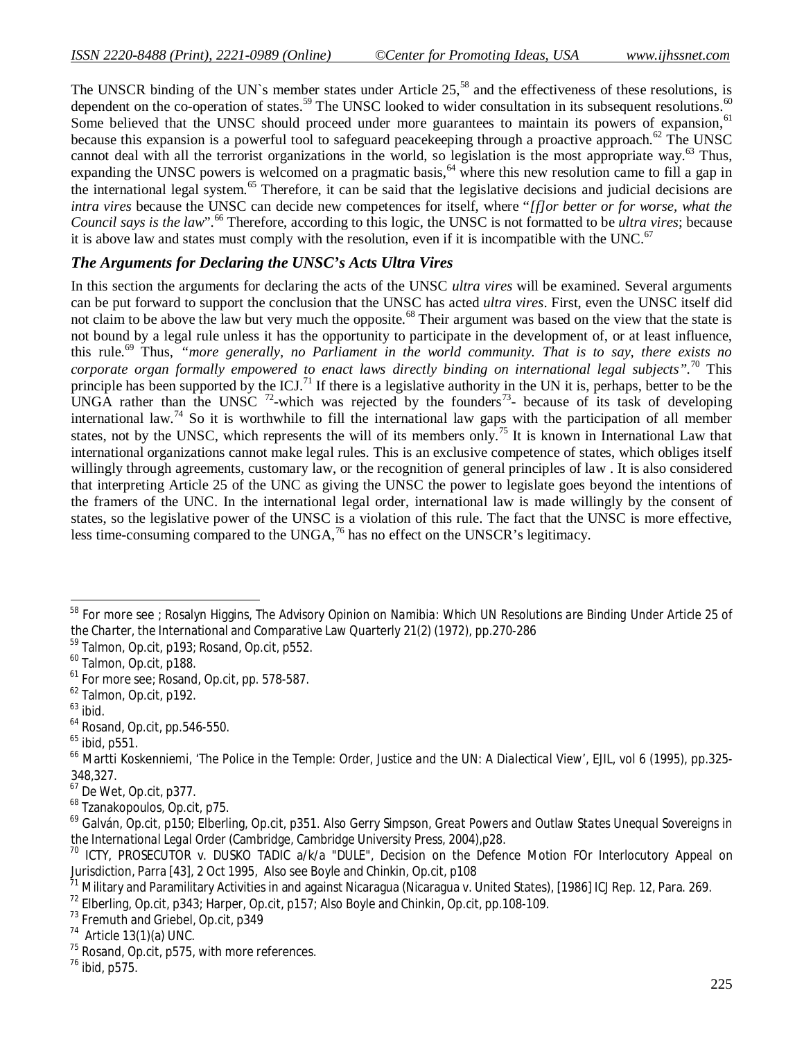The UNSCR binding of the UN`s member states under Article 25,<sup>58</sup> and the effectiveness of these resolutions, is dependent on the co-operation of states.<sup>59</sup> The UNSC looked to wider consultation in its subsequent resolutions.<sup>60</sup> Some believed that the UNSC should proceed under more guarantees to maintain its powers of expansion,<sup>61</sup> because this expansion is a powerful tool to safeguard peacekeeping through a proactive approach.<sup>62</sup> The UNSC cannot deal with all the terrorist organizations in the world, so legislation is the most appropriate way.<sup>63</sup> Thus, expanding the UNSC powers is welcomed on a pragmatic basis, <sup>64</sup> where this new resolution came to fill a gap in the international legal system.<sup>65</sup> Therefore, it can be said that the legislative decisions and judicial decisions are *intra vires* because the UNSC can decide new competences for itself, where "*[f]or better or for worse, what the Council says is the law*".<sup>66</sup> Therefore, according to this logic, the UNSC is not formatted to be *ultra vires*; because it is above law and states must comply with the resolution, even if it is incompatible with the UNC.<sup>67</sup>

### *The Arguments for Declaring the UNSC's Acts Ultra Vires*

In this section the arguments for declaring the acts of the UNSC *ultra vires* will be examined. Several arguments can be put forward to support the conclusion that the UNSC has acted *ultra vires*. First, even the UNSC itself did not claim to be above the law but very much the opposite.<sup>68</sup> Their argument was based on the view that the state is not bound by a legal rule unless it has the opportunity to participate in the development of, or at least influence, this rule.<sup>69</sup> Thus, *"more generally, no Parliament in the world community. That is to say, there exists no corporate organ formally empowered to enact laws directly binding on international legal subjects".*<sup>70</sup> This principle has been supported by the ICJ.<sup>71</sup> If there is a legislative authority in the UN it is, perhaps, better to be the UNGA rather than the UNSC  $^{72}$ -which was rejected by the founders<sup>73</sup>- because of its task of developing international law.<sup>74</sup> So it is worthwhile to fill the international law gaps with the participation of all member states, not by the UNSC, which represents the will of its members only.<sup>75</sup> It is known in International Law that international organizations cannot make legal rules. This is an exclusive competence of states, which obliges itself willingly through agreements, customary law, or the recognition of general principles of law . It is also considered that interpreting Article 25 of the UNC as giving the UNSC the power to legislate goes beyond the intentions of the framers of the UNC. In the international legal order, international law is made willingly by the consent of states, so the legislative power of the UNSC is a violation of this rule. The fact that the UNSC is more effective, less time-consuming compared to the UNGA,<sup>76</sup> has no effect on the UNSCR's legitimacy.

- <sup>63</sup> *ibid*.
- <sup>64</sup> Rosand, *Op.cit*, pp.546-550.
- $65$  ibid, p551.

 $\overline{\phantom{a}}$ <sup>58</sup> For more see ; Rosalyn Higgins, *The Advisory Opinion on Namibia: Which UN Resolutions are Binding Under Article 25 of the Charter*, the International and Comparative Law Quarterly 21(2) (1972), pp.270-286

<sup>59</sup> Talmon, *Op.cit*, p193; Rosand, *Op.cit*, p552.

<sup>60</sup> Talmon, *Op.cit*, p188.

<sup>61</sup> For more see; Rosand, *Op.cit*, pp. 578-587.

<sup>62</sup> Talmon, *Op.cit*, p192.

<sup>66</sup> Martti Koskenniemi, '*The Police in the Temple: Order, Justice and the UN: A Dialectical View'*, EJIL, vol 6 (1995), pp.325- 348,327.

<sup>67</sup> De Wet, *Op.cit*, p377.

<sup>68</sup> Tzanakopoulos, *Op.cit*, p75.

<sup>69</sup> Galván, *Op.cit*, p150; Elberling, *Op.cit*, p351. Also Gerry Simpson, *Great Powers and Outlaw States Unequal Sovereigns in the International Legal Order* (Cambridge, Cambridge University Press, 2004),p28.

<sup>&</sup>lt;sup>70</sup> ICTY, PROSECUTOR v. DUSKO TADIC a/k/a "DULE", Decision on the Defence Motion FOr Interlocutory Appeal on Jurisdiction, Parra [43], 2 Oct 1995, Also see Boyle and Chinkin, *Op.cit*, p108

<sup>&</sup>lt;sup>71</sup> Military and Paramilitary Activities in and against Nicaragua (Nicaragua v. United States), [1986] ICJ Rep. 12, Para. 269.

<sup>72</sup> Elberling, *Op.cit*, p343; Harper, *Op.cit*, p157; Also Boyle and Chinkin, *Op.cit*, pp.108-109.

<sup>73</sup> Fremuth and Griebel, *Op.cit*, p349

 $74$  Article 13(1)(a) UNC.

<sup>75</sup> Rosand, *Op.cit*, p575, with more references.

<sup>76</sup> *ibid*, p575.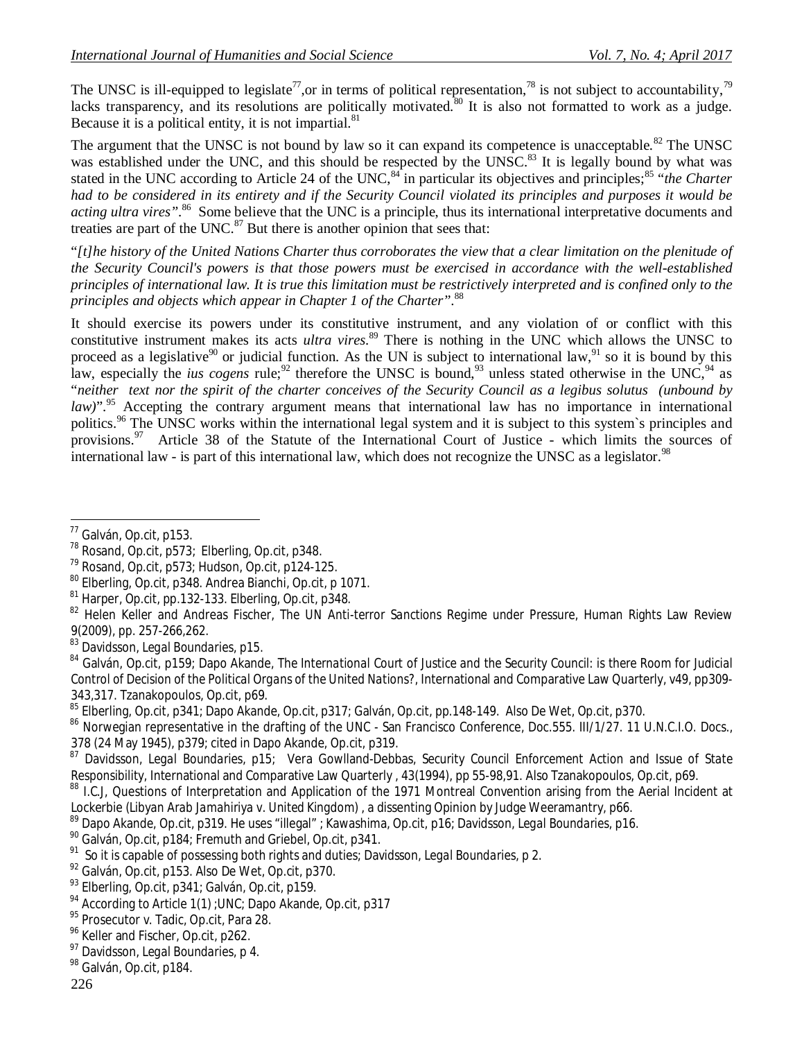The UNSC is ill-equipped to legislate<sup>77</sup>, or in terms of political representation,<sup>78</sup> is not subject to accountability,<sup>79</sup> lacks transparency, and its resolutions are politically motivated.<sup>80</sup> It is also not formatted to work as a judge. Because it is a political entity, it is not impartial. $81$ 

The argument that the UNSC is not bound by law so it can expand its competence is unacceptable.<sup>82</sup> The UNSC was established under the UNC, and this should be respected by the UNSC.<sup>83</sup> It is legally bound by what was stated in the UNC according to Article 24 of the UNC,<sup>84</sup> in particular its objectives and principles;<sup>85</sup> "*the Charter*" *had to be considered in its entirety and if the Security Council violated its principles and purposes it would be*  acting ultra vires".<sup>86</sup> Some believe that the UNC is a principle, thus its international interpretative documents and treaties are part of the UNC. $^{87}$  But there is another opinion that sees that:

"*[t]he history of the United Nations Charter thus corroborates the view that a clear limitation on the plenitude of the Security Council's powers is that those powers must be exercised in accordance with the well-established principles of international law. It is true this limitation must be restrictively interpreted and is confined only to the principles and objects which appear in Chapter 1 of the Charter".*<sup>88</sup>

It should exercise its powers under its constitutive instrument, and any violation of or conflict with this constitutive instrument makes its acts *ultra vires.*<sup>89</sup> There is nothing in the UNC which allows the UNSC to proceed as a legislative<sup>90</sup> or judicial function. As the UN is subject to international law,<sup>91</sup> so it is bound by this law, especially the *ius cogens* rule;<sup>92</sup> therefore the UNSC is bound,<sup>93</sup> unless stated otherwise in the UNC,<sup>94</sup> as "*neither text nor the spirit of the charter conceives of the Security Council as a legibus solutus (unbound by law*)".<sup>95</sup> Accepting the contrary argument means that international law has no importance in international politics.<sup>96</sup> The UNSC works within the international legal system and it is subject to this system`s principles and provisions.<sup>97</sup> Article 38 of the Statute of the International Court of Justice - which limits the sources of international law - is part of this international law, which does not recognize the UNSC as a legislator.<sup>98</sup>

 $\overline{\phantom{a}}$ <sup>77</sup> Galván, *Op.cit*, p153.

<sup>78</sup> Rosand, *Op.cit*, p573; Elberling, *Op.cit*, p348.

<sup>79</sup> Rosand, *Op.cit*, p573; Hudson, *Op.cit*, p124-125.

<sup>80</sup> Elberling, *Op.cit*, p348. Andrea Bianchi, *Op.cit*, p 1071.

<sup>81</sup> Harper, *Op.cit*, pp.132-133. Elberling, *Op.cit*, p348.

<sup>82</sup> Helen Keller and Andreas Fischer, *The UN Anti-terror Sanctions Regime under Pressure*, Human Rights Law Review 9(2009), pp. 257-266,262.

<sup>83</sup> Davidsson, *Legal Boundaries*, p15.

<sup>84</sup> Galván, *Op.cit*, p159; Dapo Akande, *The International Court of Justice and the Security Council: is there Room for Judicial Control of Decision of the Political Organs of the United Nations?,* International and Comparative Law Quarterly, v49, pp309- 343,317. Tzanakopoulos, *Op.cit*, p69.

<sup>85</sup> Elberling, *Op.cit*, p341; Dapo Akande, *Op.cit*, p317; Galván, *Op.cit*, pp.148-149. Also De Wet, *Op.cit*, p370.

<sup>86</sup> Norwegian representative in the drafting of the UNC - San Francisco Conference, Doc.555. III/1/27. 11 U.N.C.I.O. Docs., 378 (24 May 1945), p379; cited in Dapo Akande, *Op.cit*, p319.

<sup>87</sup> Davidsson, *Legal Boundaries*, p15; Vera Gowlland-Debbas, *Security Council Enforcement Action and Issue of State Responsibility*, International and Comparative Law Quarterly , 43(1994), pp 55-98,91. Also Tzanakopoulos, *Op.cit*, p69.

<sup>88</sup> I.C.J, Questions of Interpretation and Application of the 1971 Montreal Convention arising from the Aerial Incident at Lockerbie (*Libyan Arab Jamahiriya v. United Kingdom*) , a dissenting Opinion by Judge Weeramantry, p66.

<sup>89</sup> Dapo Akande, *Op.cit*, p319. He uses "illegal" ; Kawashima, *Op.cit*, p16; Davidsson, *Legal Boundaries*, p16.

<sup>90</sup> Galván, *Op.cit*, p184; Fremuth and Griebel, *Op.cit*, p341.

<sup>91</sup> So it is capable of possessing both rights and duties; Davidsson, *Legal Boundaries*, p 2.

<sup>92</sup> Galván, *Op.cit*, p153. Also De Wet, *Op.cit*, p370.

<sup>93</sup> Elberling, *Op.cit*, p341; Galván, *Op.cit*, p159.

<sup>94</sup> According to Article 1(1) ;UNC; Dapo Akande, *Op.cit*, p317

<sup>95</sup> Prosecutor v. Tadic, Op.cit, Para 28.

<sup>&</sup>lt;sup>96</sup> Keller and Fischer, Op.cit, p262.

<sup>97</sup> Davidsson, *Legal Boundaries*, p 4.

<sup>98</sup> Galván, *Op.cit*, p184.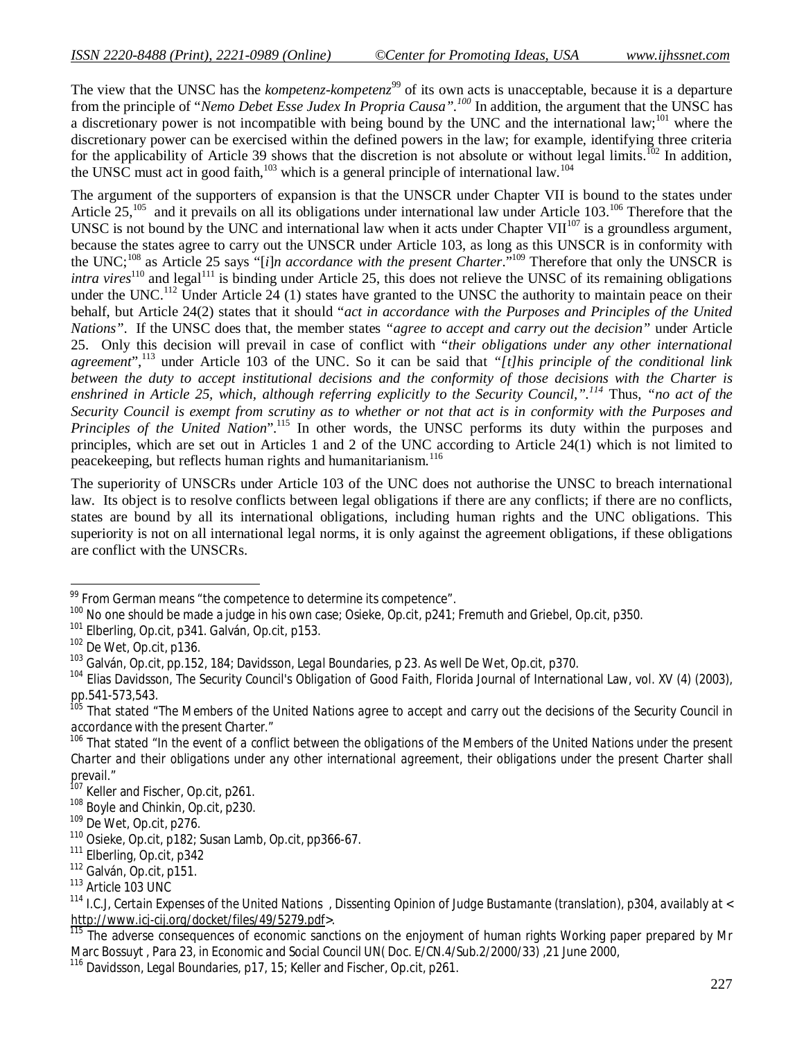The view that the UNSC has the *kompetenz-kompetenz*<sup>99</sup> of its own acts is unacceptable, because it is a departure from the principle of "*Nemo Debet Esse Judex In Propria Causa".<sup>100</sup>* In addition, the argument that the UNSC has a discretionary power is not incompatible with being bound by the UNC and the international law;<sup>101</sup> where the discretionary power can be exercised within the defined powers in the law; for example, identifying three criteria for the applicability of Article 39 shows that the discretion is not absolute or without legal limits.<sup>102</sup> In addition, the UNSC must act in good faith, $103$  which is a general principle of international law.<sup>104</sup>

The argument of the supporters of expansion is that the UNSCR under Chapter VII is bound to the states under Article  $25$ ,<sup>105</sup> and it prevails on all its obligations under international law under Article 103.<sup>106</sup> Therefore that the UNSC is not bound by the UNC and international law when it acts under Chapter VII $^{107}$  is a groundless argument, because the states agree to carry out the UNSCR under Article 103, as long as this UNSCR is in conformity with the UNC;<sup>108</sup> as Article 25 says "[*i*]*n accordance with the present Charter*."<sup>109</sup> Therefore that only the UNSCR is *intra vires*<sup>110</sup> and legal<sup>111</sup> is binding under Article 25, this does not relieve the UNSC of its remaining obligations under the UNC.<sup>112</sup> Under Article 24 (1) states have granted to the UNSC the authority to maintain peace on their behalf, but Article 24(2) states that it should "*act in accordance with the Purposes and Principles of the United Nations".* If the UNSC does that, the member states *"agree to accept and carry out the decision"* under Article 25. Only this decision will prevail in case of conflict with "*their obligations under any other international agreement*",<sup>113</sup> under Article 103 of the UNC. So it can be said that *"[t]his principle of the conditional link between the duty to accept institutional decisions and the conformity of those decisions with the Charter is enshrined in Article 25, which, although referring explicitly to the Security Council,".<sup>114</sup>* Thus*, "no act of the Security Council is exempt from scrutiny as to whether or not that act is in conformity with the Purposes and Principles of the United Nation*".<sup>115</sup> In other words, the UNSC performs its duty within the purposes and principles, which are set out in Articles 1 and 2 of the UNC according to Article 24(1) which is not limited to peacekeeping, but reflects human rights and humanitarianism.<sup>116</sup>

The superiority of UNSCRs under Article 103 of the UNC does not authorise the UNSC to breach international law. Its object is to resolve conflicts between legal obligations if there are any conflicts; if there are no conflicts, states are bound by all its international obligations, including human rights and the UNC obligations. This superiority is not on all international legal norms, it is only against the agreement obligations, if these obligations are conflict with the UNSCRs.

 $\overline{a}$ 

 $99$  From German means "the competence to determine its competence".

<sup>100</sup> No one should be made a judge in his own case; Osieke, *Op.cit*, p241; Fremuth and Griebel, *Op.cit*, p350.

<sup>101</sup> Elberling, *Op.cit*, p341. Galván, *Op.cit*, p153.

<sup>102</sup> De Wet, *Op.cit*, p136.

<sup>103</sup> Galván, *Op.cit*, pp.152, 184; Davidsson, *Legal Boundaries*, p 23. As well De Wet, *Op.cit*, p370.

<sup>104</sup> Elias Davidsson, *The Security Council's Obligation of Good Faith,* Florida Journal of International Law, vol. XV (4) (2003), pp.541-573,543.

<sup>105</sup> That stated "*The Members of the United Nations agree to accept and carry out the decisions of the Security Council in accordance with the present Charter*."

<sup>&</sup>lt;sup>106</sup> That stated "In the event of a conflict between the obligations of the Members of the United Nations under the present *Charter and their obligations under any other international agreement, their obligations under the present Charter shall prevail*."

<sup>&</sup>lt;sup>107</sup> Keller and Fischer, Op.cit, p261.

<sup>108</sup> Boyle and Chinkin, *Op.cit*, p230.

<sup>109</sup> De Wet, *Op.cit*, p276.

<sup>110</sup> Osieke, *Op.cit*, p182; Susan Lamb, *Op.cit*, pp366-67.

<sup>111</sup> Elberling, *Op.cit*, p342

<sup>112</sup> Galván, *Op.cit*, p151.

<sup>113</sup> Article 103 UNC

<sup>114</sup> *I.C.J, Certain Expenses of the United Nations , Dissenting Opinion of Judge Bustamante (translation), p304, availably at < http://www.icj-cij.org/docket/files/49/5279.pdf>*.

The adverse consequences of economic sanctions on the enjoyment of human rights Working paper prepared by Mr Marc Bossuyt , Para 23, in *Economic and Social Council UN( Doc. E/CN.4/Sub.2/2000/33)* ,21 June 2000,

<sup>116</sup> Davidsson, *Legal Boundaries*, p17, 15; Keller and Fischer, Op.cit, p261.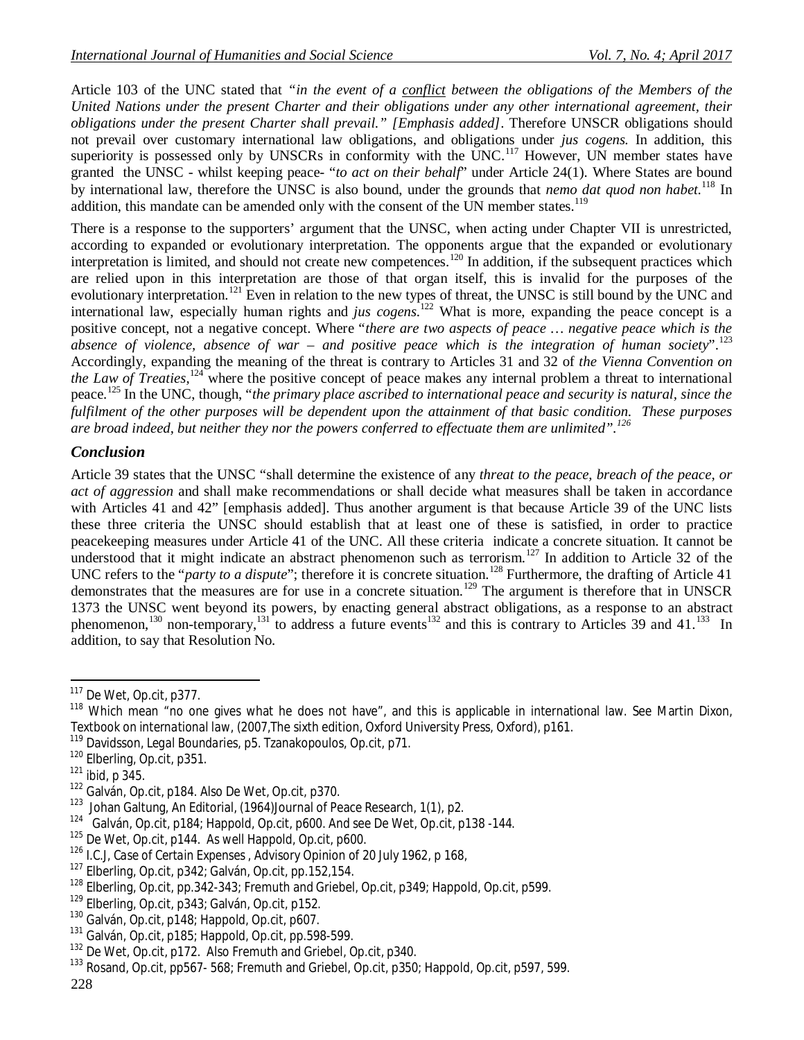Article 103 of the UNC stated that *"in the event of a conflict between the obligations of the Members of the United Nations under the present Charter and their obligations under any other international agreement, their obligations under the present Charter shall prevail." [Emphasis added]*. Therefore UNSCR obligations should not prevail over customary international law obligations, and obligations under *jus cogens.* In addition, this superiority is possessed only by UNSCRs in conformity with the UNC.<sup>117</sup> However, UN member states have granted the UNSC - whilst keeping peace- "*to act on their behalf*" under Article 24(1). Where States are bound by international law, therefore the UNSC is also bound, under the grounds that *nemo dat quod non habet.*<sup>118</sup> In addition, this mandate can be amended only with the consent of the UN member states.<sup>119</sup>

There is a response to the supporters' argument that the UNSC, when acting under Chapter VII is unrestricted, according to expanded or evolutionary interpretation. The opponents argue that the expanded or evolutionary interpretation is limited, and should not create new competences.<sup>120</sup> In addition, if the subsequent practices which are relied upon in this interpretation are those of that organ itself, this is invalid for the purposes of the evolutionary interpretation.<sup>121</sup> Even in relation to the new types of threat, the UNSC is still bound by the UNC and international law, especially human rights and *jus cogens*.<sup>122</sup> What is more, expanding the peace concept is a positive concept, not a negative concept. Where "*there are two aspects of peace … negative peace which is the absence of violence, absence of war – and positive peace which is the integration of human society*".<sup>123</sup> Accordingly, expanding the meaning of the threat is contrary to Articles 31 and 32 of *the Vienna Convention on the Law of Treaties*,<sup>124</sup> where the positive concept of peace makes any internal problem a threat to international peace.<sup>125</sup> In the UNC, though, "*the primary place ascribed to international peace and security is natural, since the fulfilment of the other purposes will be dependent upon the attainment of that basic condition. These purposes are broad indeed, but neither they nor the powers conferred to effectuate them are unlimited".<sup>126</sup>*

#### *Conclusion*

Article 39 states that the UNSC "shall determine the existence of any *threat to the peace, breach of the peace, or act of aggression* and shall make recommendations or shall decide what measures shall be taken in accordance with Articles 41 and 42" [emphasis added]. Thus another argument is that because Article 39 of the UNC lists these three criteria the UNSC should establish that at least one of these is satisfied, in order to practice peacekeeping measures under Article 41 of the UNC. All these criteria indicate a concrete situation. It cannot be understood that it might indicate an abstract phenomenon such as terrorism.<sup>127</sup> In addition to Article 32 of the UNC refers to the "*party to a dispute*"; therefore it is concrete situation.<sup>128</sup> Furthermore, the drafting of Article 41 demonstrates that the measures are for use in a concrete situation.<sup>129</sup> The argument is therefore that in UNSCR 1373 the UNSC went beyond its powers, by enacting general abstract obligations, as a response to an abstract phenomenon,<sup>130</sup> non-temporary,<sup>131</sup> to address a future events<sup>132</sup> and this is contrary to Articles 39 and 41.<sup>133</sup> In addition, to say that Resolution No.

 $\overline{a}$ 

<sup>117</sup> De Wet, *Op.cit*, p377.

 $118$  Which mean "no one gives what he does not have", and this is applicable in international law. See Martin Dixon, *Textbook on international law*, (2007,The sixth edition, Oxford University Press, Oxford), p161.

<sup>119</sup> Davidsson, *Legal Boundaries*, p5. Tzanakopoulos, *Op.cit*, p71.

<sup>120</sup> Elberling, *Op.cit*, p351.

<sup>121</sup> *ibid*, p 345.

<sup>122</sup> Galván, *Op.cit*, p184. Also De Wet, *Op.cit*, p370.

<sup>&</sup>lt;sup>123</sup> Johan Galtung, An Editorial, (1964)Journal of Peace Research, 1(1), p2.

<sup>124</sup> Galván, *Op.cit*, p184; Happold, *Op.cit*, p600. And see De Wet, *Op.cit*, p138 -144.

<sup>125</sup> De Wet, *Op.cit*, p144. As well Happold, *Op.cit*, p600.

*<sup>126</sup> I.C.J, Case of Certain Expenses* , Advisory Opinion of 20 July 1962, p 168,

<sup>127</sup> Elberling, *Op.cit*, p342; Galván, *Op.cit*, pp.152,154.

<sup>128</sup> Elberling, *Op.cit*, pp.342-343; Fremuth and Griebel, *Op.cit*, p349; Happold, *Op.cit*, p599.

<sup>129</sup> Elberling, *Op.cit*, p343; Galván, *Op.cit*, p152.

<sup>130</sup> Galván, *Op.cit*, p148; Happold, *Op.cit*, p607.

<sup>131</sup> Galván, *Op.cit*, p185; Happold, *Op.cit*, pp.598-599.

<sup>132</sup> De Wet, *Op.cit*, p172. Also Fremuth and Griebel, *Op.cit*, p340.

<sup>133</sup> Rosand, *Op.cit*, pp567- 568; Fremuth and Griebel, *Op.cit*, p350; Happold, *Op.cit*, p597, 599.